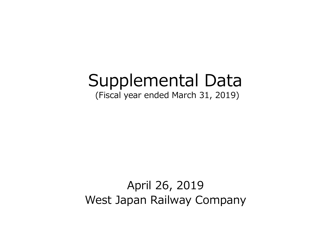# Supplemental Data

(Fiscal year ended March 31, 2019)

# April 26, 2019 West Japan Railway Company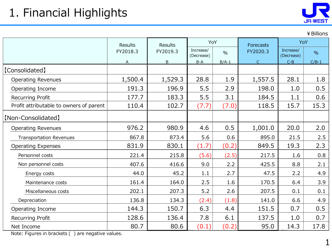¥Billions

|                                         | Results<br><b>Results</b> |          | YoY                     |               | <b>Forecasts</b> | YoY                     |               |  |
|-----------------------------------------|---------------------------|----------|-------------------------|---------------|------------------|-------------------------|---------------|--|
|                                         | FY2018.3                  | FY2019.3 | Increase/<br>(Decrease) | $\frac{0}{0}$ | FY2020.3         | Increase/<br>(Decrease) | $\frac{0}{0}$ |  |
|                                         | A                         | B        | $B-A$                   | $B/A-1$       | $\mathsf C$      | $C - B$                 | $C/B-1$       |  |
| [Consolidated]                          |                           |          |                         |               |                  |                         |               |  |
| <b>Operating Revenues</b>               | 1,500.4                   | 1,529.3  | 28.8                    | 1.9           | 1,557.5          | 28.1                    | 1.8           |  |
| Operating Income                        | 191.3                     | 196.9    | 5.5                     | 2.9           | 198.0            | 1.0                     | 0.5           |  |
| <b>Recurring Profit</b>                 | 177.7                     | 183.3    | 5.5                     | 3.1           | 184.5            | 1.1                     | 0.6           |  |
| Profit attributable to owners of parent | 110.4                     | 102.7    | (7.7)                   | (7.0)         | 118.5            | 15.7                    | 15.3          |  |
| [Non-Consolidated]                      |                           |          |                         |               |                  |                         |               |  |
| <b>Operating Revenues</b>               | 976.2                     | 980.9    | 4.6                     | 0.5           | 1,001.0          | 20.0                    | 2.0           |  |
| <b>Transportation Revenues</b>          | 867.8                     | 873.4    | 5.6                     | 0.6           | 895.0            | 21.5                    | 2.5           |  |
| <b>Operating Expenses</b>               | 831.9                     | 830.1    | (1.7)                   | (0.2)         | 849.5            | 19.3                    | 2.3           |  |
| Personnel costs                         | 221.4                     | 215.8    | (5.6)                   | (2.5)         | 217.5            | 1.6                     | 0.8           |  |
| Non personnel costs                     | 407.6                     | 416.6    | 9.0                     | 2.2           | 425.5            | 8.8                     | 2.1           |  |
| Energy costs                            | 44.0                      | 45.2     | 1.1                     | 2.7           | 47.5             | 2.2                     | 4.9           |  |
| Maintenance costs                       | 161.4                     | 164.0    | 2.5                     | 1.6           | 170.5            | 6.4                     | 3.9           |  |
| Miscellaneous costs                     | 202.1                     | 207.3    | 5.2                     | 2.6           | 207.5            | 0.1                     | 0.1           |  |
| Depreciation                            | 136.8                     | 134.3    | (2.4)                   | (1.8)         | 141.0            | 6.6                     | 4.9           |  |
| Operating Income                        | 144.3                     | 150.7    | 6.3                     | 4.4           | 151.5            | 0.7                     | 0.5           |  |
| Recurring Profit                        | 128.6                     | 136.4    | 7.8                     | 6.1           | 137.5            | 1.0                     | 0.7           |  |
| Net Income                              | 80.7                      | 80.6     | (0.1)                   | (0.2)         | 95.0             | 14.3                    | 17.8          |  |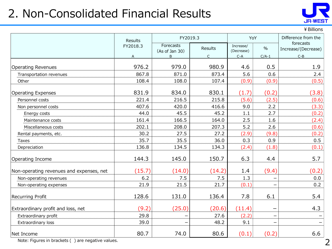### 2. Non-Consolidated Financial Results



|  | ¥ Billions |
|--|------------|
|--|------------|

|                                          | Results  | FY2019.3                    |                | YoY                     |               | Difference from the              |
|------------------------------------------|----------|-----------------------------|----------------|-------------------------|---------------|----------------------------------|
|                                          | FY2018.3 | Forecasts<br>(As of Jan 30) | <b>Results</b> | Increase/<br>(Decrease) | $\frac{0}{0}$ | forecasts<br>Increase/(Decrease) |
|                                          | A        | B                           | $\mathsf{C}$   | $C-A$                   | $C/A-1$       | $C-B$                            |
|                                          |          |                             |                |                         |               |                                  |
| <b>Operating Revenues</b>                | 976.2    | 979.0                       | 980.9          | 4.6                     | 0.5           | 1.9                              |
| Transportation revenues                  | 867.8    | 871.0                       | 873.4          | 5.6                     | 0.6           | 2.4                              |
| Other                                    | 108.4    | 108.0                       | 107.4          | (0.9)                   | (0.9)         | (0.5)                            |
| <b>Operating Expenses</b>                | 831.9    | 834.0                       | 830.1          | (1.7)                   | (0.2)         | (3.8)                            |
| Personnel costs                          | 221.4    | 216.5                       | 215.8          | (5.6)                   | (2.5)         | (0.6)                            |
| Non personnel costs                      | 407.6    | 420.0                       | 416.6          | 9.0                     | 2.2           | (3.3)                            |
| Energy costs                             | 44.0     | 45.5                        | 45.2           | 1.1                     | 2.7           | (0.2)                            |
| Maintenance costs                        | 161.4    | 166.5                       | 164.0          | 2.5                     | 1.6           | (2.4)                            |
| Miscellaneous costs                      | 202.1    | 208.0                       | 207.3          | 5.2                     | 2.6           | (0.6)                            |
| Rental payments, etc.                    | 30.2     | 27.5                        | 27.2           | (2.9)                   | (9.8)         | (0.2)                            |
| Taxes                                    | 35.7     | 35.5                        | 36.0           | 0.3                     | 0.9           | 0.5                              |
| Depreciation                             | 136.8    | 134.5                       | 134.3          | (2.4)                   | (1.8)         | (0.1)                            |
| Operating Income                         | 144.3    | 145.0                       | 150.7          | 6.3                     | 4.4           | 5.7                              |
| Non-operating revenues and expenses, net | (15.7)   | (14.0)                      | (14.2)         | 1.4                     | (9.4)         | (0.2)                            |
| Non-operating revenues                   | 6.2      | 7.5                         | 7.5            | 1.3                     |               | 0.0                              |
| Non-operating expenses                   | 21.9     | 21.5                        | 21.7           | (0.1)                   |               | 0.2                              |
| Recurring Profit                         | 128.6    | 131.0                       | 136.4          | 7.8                     | 6.1           | 5.4                              |
| Extraordinary profit and loss, net       | (9.2)    | (25.0)                      | (20.6)         | (11.4)                  |               | 4.3                              |
| Extraordinary profit                     | 29.8     |                             | 27.6           | (2.2)                   | -             |                                  |
| Extraordinary loss                       | 39.0     |                             | 48.2           | 9.1                     |               |                                  |
| Net Income                               | 80.7     | 74.0                        | 80.6           | (0.1)                   | (0.2)         | 6.6                              |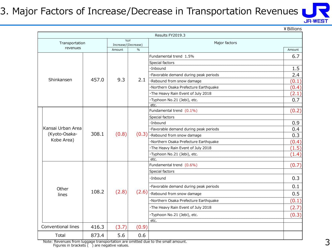#### 3. Major Factors of Increase/Decrease in Transportation Revenues



|                    |       |                            |               |                                                            | ¥ Billions |
|--------------------|-------|----------------------------|---------------|------------------------------------------------------------|------------|
|                    |       |                            |               | Results FY2019.3                                           |            |
| Transportation     |       | YoY<br>Increase/(Decrease) |               | Major factors                                              |            |
| revenues           |       | Amount                     | $\frac{0}{0}$ |                                                            | Amount     |
|                    |       |                            |               | Fundamental trend 1.5%                                     | 6.7        |
|                    |       |                            |               | Special factors                                            |            |
|                    |       |                            |               | ·Inbound                                                   | 1.5        |
|                    |       |                            |               | ·Favorable demand during peak periods                      | 2.4        |
| Shinkansen         | 457.0 | 9.3                        | 2.1           | ·Rebound from snow damage                                  | (0.1)      |
|                    |       |                            |               | ·Northern Osaka Prefecture Earthquake                      | (0.4)      |
|                    |       |                            |               | ·The Heavy Rain Event of July 2018                         | (2.1)      |
|                    |       |                            |               | ·Typhoon No.21 (Jebi), etc.                                | 0.7        |
|                    |       |                            |               | etc                                                        |            |
|                    |       |                            |               | Fundamental trend (0.1%)                                   | (0.2)      |
|                    |       |                            |               | Special factors                                            |            |
|                    |       |                            |               | ·Inbound                                                   | 0.9        |
| Kansai Urban Area  |       |                            |               | ·Favorable demand during peak periods                      | 0.4        |
| (Kyoto-Osaka-      | 308.1 | (0.8)                      |               | $(0.3)$ $\overline{\cdot \text{Rebound}}$ from snow damage | 0.3        |
| Kobe Area)         |       |                            |               | ·Northern Osaka Prefecture Earthquake                      | (0.4)      |
|                    |       |                            |               | ·The Heavy Rain Event of July 2018                         | (1.5)      |
|                    |       |                            |               | ·Typhoon No.21 (Jebi), etc.                                | (1.4)      |
|                    |       |                            |               | etc.                                                       |            |
|                    |       |                            |               | Fundamental trend (0.6%)                                   | (0.7)      |
|                    |       |                            |               | Special factors                                            |            |
|                    |       |                            |               | ·Inbound                                                   | 0.3        |
| Other              |       |                            |               | ·Favorable demand during peak periods                      | 0.1        |
| lines              | 108.2 | (2.8)                      | (2.6)         | ·Rebound from snow damage                                  | 0.5        |
|                    |       |                            |               | ·Northern Osaka Prefecture Earthquake                      | (0.1)      |
|                    |       |                            |               | · The Heavy Rain Event of July 2018                        | (2.7)      |
|                    |       |                            |               | ·Typhoon No.21 (Jebi), etc.                                | (0.3)      |
|                    |       |                            |               | etc.                                                       |            |
| Conventional lines | 416.3 | (3.7)                      | (0.9)         |                                                            |            |
| Total              | 873.4 | 5.6                        | 0.6           |                                                            |            |

Note: Revenues from luggage transportation are omitted due to the small amount. Figures in brackets ( ) are negative values.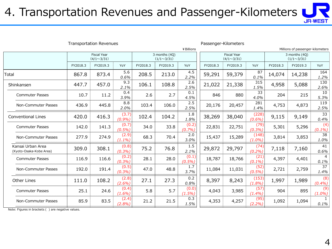## 4. Transportation Revenues and Passenger-Kilometers



| <b>Transportation Revenues</b> |                                                                               |                    |              |                                         |                                  |                                    |          |                      |             |          |                        |
|--------------------------------|-------------------------------------------------------------------------------|--------------------|--------------|-----------------------------------------|----------------------------------|------------------------------------|----------|----------------------|-------------|----------|------------------------|
| ¥ Billions                     |                                                                               |                    |              |                                         | Millions of passenger-kilometers |                                    |          |                      |             |          |                        |
|                                | <b>Fiscal Year</b><br>3 months (4Q)<br>$(4/1 \sim 3/31)$<br>$(1/1 \sim 3/31)$ |                    |              | <b>Fiscal Year</b><br>$(4/1 \sim 3/31)$ |                                  | 3 months (4Q)<br>$(1/1 \sim 3/31)$ |          |                      |             |          |                        |
| FY2018.3                       | FY2019.3                                                                      | YoY                | FY2018.3     | FY2019.3                                | YoY                              | FY2018.3                           | FY2019.3 | YoY                  | FY2018.3    | FY2019.3 | YoY                    |
| 867.8                          | 873.4                                                                         | 5.6<br>0.6%        | 208.5        | 213.0                                   | 4.5<br>2.2%                      | 59,291                             | 59,379   | 87<br>0.1%           | 14,074      | 14,238   | 164<br>1.2%            |
| 447.7                          | 457.0                                                                         | 9.3<br>2.1%        | 106.1        | 108.8                                   | 2.6<br>2.5%                      | 21,022                             | 21,338   | 315<br>1.5%          | 4,958       | 5,088    | 130<br>2.6%            |
| 10.7                           | 11.2                                                                          | 0.4<br>3.9%        | 2.6          | 2.7                                     | 0.1<br>4.5%                      | 846                                | 880      | 33<br>4.0%           | 204         | 215      | 10<br>5.3%             |
| 436.9                          | 445.8                                                                         | 2.0%               | 103.4        | 106.0                                   | 2.5%                             | 20,176                             | 20,457   | 1.4%                 | 4,753       | 4,873    | 119<br>2.5%            |
| 420.0                          | 416.3                                                                         | (3.7)<br>(0.9%)    | 102.4        | 104.2                                   | 1.8<br>1.8%                      | 38,269                             | 38,040   | (228)<br>$(0.6\%)$   | 9,115       | 9,149    | 33<br>0.4%             |
| 142.0                          | 141.3                                                                         | (0.7)<br>$(0.5\%)$ | 34.0         | 33.8                                    | (0.2)<br>(0.7%)                  | 22,831                             | 22,751   | (79)<br>(0.3%)       | 5,301       | 5,296    | (4)<br>$(0.1\%)$       |
| 277.9                          | 274.9                                                                         | (2.9)<br>$(1.1\%)$ | 68.3         | 70.4                                    | 2.0<br>3.0%                      | 15,437                             | 15,289   | (148)<br>(1.0%       | 3,814       | 3,853    | 38<br>1.0%             |
| 309.0                          | 308.1                                                                         | (0.8)<br>(0.3%)    | 75.2         | 76.8                                    | 1.5<br>2.1%                      | 29,872                             | 29,797   | (74)<br>(0.2%)       | 7,118       | 7,160    | 41<br>0.6%             |
| 116.9                          | 116.6                                                                         | (0.2)<br>(0.3%)    | 28.1         | 28.0                                    | (0.1)<br>$(0.5\%)$               | 18,787                             | 18,766   | (21)<br>$(0.1\%)$    | 4,397       | 4,401    | $\overline{4}$<br>0.1% |
| 192.0                          | 191.4                                                                         | (0.3%)             | 47.0         | 48.8                                    | 3.7%                             | 11,084                             | 11,031   | (0.5%)               | 2,721       | 2,759    | 37<br>1.4%             |
| 111.0                          | 108.2                                                                         | (2.8)<br>$(2.6\%)$ | 27.1         | 27.3                                    | 0.2<br>0.8%                      | 8,397                              | 8,243    | (153)<br>(1.8%)      | 1,997       | 1,989    | (8)<br>(0.4%)          |
| 25.1                           | 24.6                                                                          | (0.4)<br>$(1.6\%)$ | 5.8          | 5.7                                     | (0.0)<br>(1.5%)                  | 4,043                              | 3,985    | (57)<br>$(1.4\%)$    | 904         | 895      | (9)<br>$(1.0\%)$       |
| 85.9                           | 83.5                                                                          | (2.4)<br>(2.8%)    | 21.2         | 21.5                                    | 0.3<br>1.5%                      | 4,353                              | 4,257    | (95)<br>$(2.2\%)$    | 1,092       | 1,094    | $0.1\%$                |
|                                |                                                                               |                    | 8.8<br>(0.5) |                                         |                                  | 2.5<br>1.7                         |          | Passenger-Kilometers | 281<br>(52) |          |                        |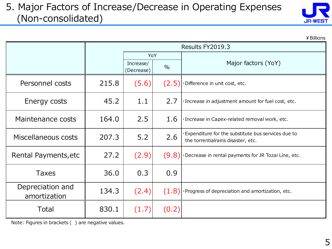#### 5. Major Factors of Increase/Decrease in Operating Expenses (Non-consolidated)

| JR-WEST |  |
|---------|--|

 $¥$  Billions

|                                  |       |                         | Results FY2019.3 |                                                                                            |
|----------------------------------|-------|-------------------------|------------------|--------------------------------------------------------------------------------------------|
|                                  |       | YoY                     |                  |                                                                                            |
|                                  |       | Increase/<br>(Decrease) | $\frac{0}{0}$    | Major factors (YoY)                                                                        |
| Personnel costs                  | 215.8 | (5.6)                   | (2.5)            | ·Difference in unit cost, etc.                                                             |
| Energy costs                     | 45.2  | 1.1                     | 2.7              | · Increase in adjustment amount for fuel cost, etc.                                        |
| Maintenance costs                | 164.0 | 2.5                     | 1.6              | · Increase in Capex-related removal work, etc.                                             |
| Miscellaneous costs              | 207.3 | 5.2                     | 2.6              | · Expenditure for the substitute bus services due to<br>the torrentialrains disaster, etc. |
| Rental Payments, etc             | 27.2  | (2.9)                   |                  | $(9.8)$ $\cdot$ Decrease in rental payments for JR Tozai Line, etc.                        |
| <b>Taxes</b>                     | 36.0  | 0.3                     | 0.9              |                                                                                            |
| Depreciation and<br>amortization | 134.3 | (2.4)                   |                  | $(1.8)$ Progress of depreciation and amortization, etc.                                    |
| Total                            | 830.1 | (1.7)                   | (0.2)            |                                                                                            |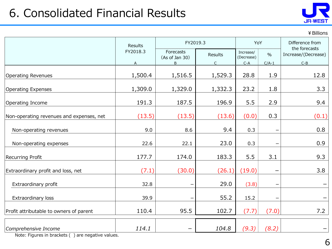## 6. Consolidated Financial Results



¥Billions

|                                          | Results       | FY2019.3                         |                        |                                  | YoY                      | Difference from<br>the forecasts |  |
|------------------------------------------|---------------|----------------------------------|------------------------|----------------------------------|--------------------------|----------------------------------|--|
|                                          | FY2018.3<br>Α | Forecasts<br>(As of Jan 30)<br>B | Results<br>$\mathsf C$ | Increase/<br>(Decrease)<br>$C-A$ | $\frac{0}{0}$<br>$C/A-1$ | Increase/(Decrease)<br>$C - B$   |  |
| <b>Operating Revenues</b>                | 1,500.4       | 1,516.5                          | 1,529.3                | 28.8                             | 1.9                      | 12.8                             |  |
| <b>Operating Expenses</b>                | 1,309.0       | 1,329.0                          | 1,332.3                | 23.2                             | 1.8                      | 3.3                              |  |
| Operating Income                         | 191.3         | 187.5                            | 196.9                  | 5.5                              | 2.9                      | 9.4                              |  |
| Non-operating revenues and expenses, net | (13.5)        | (13.5)                           | (13.6)                 | (0.0)                            | 0.3                      | (0.1)                            |  |
| Non-operating revenues                   | 9.0           | 8.6                              | 9.4                    | 0.3                              |                          | 0.8                              |  |
| Non-operating expenses                   | 22.6          | 22.1                             | 23.0                   | 0.3                              |                          | 0.9                              |  |
| Recurring Profit                         | 177.7         | 174.0                            | 183.3                  | 5.5                              | 3.1                      | 9.3                              |  |
| Extraordinary profit and loss, net       | (7.1)         | (30.0)                           | (26.1)                 | (19.0)                           |                          | 3.8                              |  |
| Extraordinary profit                     | 32.8          |                                  | 29.0                   | (3.8)                            | —                        |                                  |  |
| Extraordinary loss                       | 39.9          |                                  | 55.2                   | 15.2                             |                          |                                  |  |
| Profit attributable to owners of parent  | 110.4         | 95.5                             | 102.7                  | (7.7)                            | (7.0)                    | 7.2                              |  |
| Comprehensive Income                     | 114.1         | —                                | 104.8                  | (9.3)                            | (8.2)                    | —                                |  |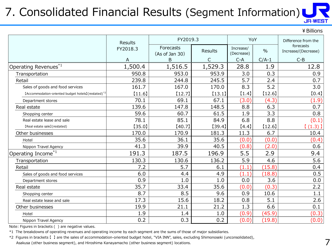#### 7. Consolidated Financial Results (Segment Information) **JR-WEST**

|                                                                 |                |                             |         |                         |               | ¥ Billions                       |
|-----------------------------------------------------------------|----------------|-----------------------------|---------|-------------------------|---------------|----------------------------------|
|                                                                 | <b>Results</b> | FY2019.3                    |         |                         | YoY           | Difference from the              |
|                                                                 | FY2018.3       | Forecasts<br>(As of Jan 30) | Results | Increase/<br>(Decrease) | $\frac{0}{0}$ | forecasts<br>Increase/(Decrease) |
|                                                                 | A              | B                           | C       | $C-A$                   | $C/A-1$       | $C-B$                            |
| Operating Revenues $^{\ast1}$                                   | 1,500.4        | 1,516.5                     | 1,529.3 | 28.8                    | 1.9           | 12.8                             |
| Transportation                                                  | 950.8          | 953.0                       | 953.9   | 3.0                     | 0.3           | 0.9                              |
| Retail                                                          | 239.8          | 244.8                       | 245.5   | 5.7                     | 2.4           | 0.7                              |
| Sales of goods and food services                                | 161.7          | 167.0                       | 170.0   | 8.3                     | 5.2           | 3.0                              |
| [Accommodation-oriented budget hotels] (restated) <sup>*2</sup> | [11.6]         | [12.7]                      | (13.1)  | [1.4]                   | [12.6]        | [0.4]                            |
| Department stores                                               | 70.1           | 69.1                        | 67.1    | (3.0)                   | (4.3)         | (1.9)                            |
| Real estate                                                     | 139.6          | 147.8                       | 148.5   | 8.8                     | 6.3           | 0.7                              |
| Shopping center                                                 | 59.6           | 60.7                        | 61.5    | 1.9                     | 3.3           | 0.8                              |
| Real estate lease and sale                                      | 78.1           | 85.1                        | 84.9    | 6.8                     | 8.8           | (0.1)                            |
| [Real estate sale] (restated)                                   | [35.0]         | [40.7]                      | [39.4]  | [4.4]                   | [12.6]        | (1.3)                            |
| Other businesses                                                | 170.0          | 170.9                       | 181.3   | 11.3                    | 6.7           | 10.4                             |
| Hotel                                                           | 35.6           | 36.1                        | 35.6    | (0.0)                   | (0.0)         | (0.4)                            |
| Nippon Travel Agency                                            | 41.3           | 39.9                        | 40.5    | (0.8)                   | (2.0)         | 0.6                              |
| Operating Income $^{\ast1}$                                     | 191.3          | 187.5                       | 196.9   | 5.5                     | 2.9           | 9.4                              |
| Transportation                                                  | 130.3          | 130.6                       | 136.2   | 5.9                     | 4.6           | 5.6                              |
| Retail                                                          | 7.2            | 5.7                         | 6.1     | (1.1)                   | (15.8)        | 0.4                              |
| Sales of goods and food services                                | 6.0            | 4.4                         | 4.9     | (1.1)                   | (18.8)        | 0.5                              |
| Department stores                                               | 0.9            | 1.0                         | 1.0     | 0.0                     | 3.6           | 0.0                              |
| Real estate                                                     | 35.7           | 33.4                        | 35.6    | (0.0)                   | (0.3)         | 2.2                              |
| Shopping center                                                 | 8.7            | 8.5                         | 9.6     | 0.9                     | 10.6          | 1.1                              |
| Real estate lease and sale                                      | 17.3           | 15.6                        | 18.2    | 0.8                     | 5.1           | 2.6                              |
| Other businesses                                                | 19.9           | 21.1                        | 21.2    | 1.3                     | 6.6           | 0.1                              |
| Hotel                                                           | 1.9            | 1.4                         | 1.0     | (0.9)                   | (45.9)        | (0.3)                            |
| Nippon Travel Agency                                            | 0.2            | 0.3                         | 0.2     | (0.0)                   | (19.8)        | (0.0)                            |

Note: Figures in brackets ( ) are negative values.

\*1 The breakdowns of operating revenues and operating income by each segment are the sums of those of major subsidiaries.

\*2 Figures in brackets 【 】 are the sales of accommodation-oriented budget hotel, "VIA INN", sales, excluding Shimonoseki (unconsolidated), Asakusa (other business segment), and Hiroshima Kanayamacho (other business segment) locations.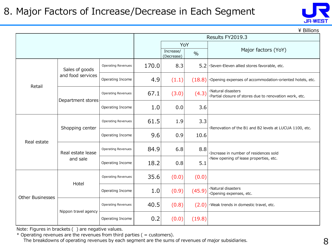

 $\angle$  Billions

|                         |                      | Results FY2019.3          |       |                         |               |                                                                               |  |  |
|-------------------------|----------------------|---------------------------|-------|-------------------------|---------------|-------------------------------------------------------------------------------|--|--|
|                         |                      |                           |       | YoY                     |               |                                                                               |  |  |
|                         |                      |                           |       | Increase/<br>(Decrease) | $\frac{0}{0}$ | Major factors (YoY)                                                           |  |  |
|                         | Sales of goods       | <b>Operating Revenues</b> | 170.0 | 8.3                     |               | 5.2 Seven-Eleven allied stores favorable, etc.                                |  |  |
| Retail                  | and food services    | Operating Income          | 4.9   | (1.1)                   | (18.8)        | ·Opening expenses of accommodation-oriented hotels, etc.                      |  |  |
|                         | Department stores    | Operating Revenues        | 67.1  | (3.0)                   | (4.3)         | ·Natural disasters<br>·Partial closure of stores due to renovation work, etc. |  |  |
|                         |                      | Operating Income          | 1.0   | 0.0                     | 3.6           |                                                                               |  |  |
|                         | Shopping center      | <b>Operating Revenues</b> | 61.5  | 1.9                     | 3.3           | Renovation of the B1 and B2 levels at LUCUA 1100, etc.                        |  |  |
| Real estate             |                      | Operating Income          | 9.6   | 0.9                     | 10.6          |                                                                               |  |  |
|                         | Real estate lease    | Operating Revenues        | 84.9  | 6.8                     | 8.8           | · Increase in number of residences sold                                       |  |  |
|                         | and sale             | Operating Income          | 18.2  | 0.8                     | 5.1           | ·New opening of lease properties, etc.                                        |  |  |
|                         | Hotel                | <b>Operating Revenues</b> | 35.6  | (0.0)                   | (0.0)         |                                                                               |  |  |
| <b>Other Businesses</b> |                      | Operating Income          | 1.0   | (0.9)                   | (45.9)        | ·Natural disasters<br>Opening expenses, etc.                                  |  |  |
|                         |                      | <b>Operating Revenues</b> | 40.5  | (0.8)                   | (2.0)         | ·Weak trends in domestic travel, etc.                                         |  |  |
|                         | Nippon travel agency | Operating Income          | 0.2   | (0.0)                   | (19.8)        |                                                                               |  |  |

Note: Figures in brackets ( ) are negative values.

 $*$  Operating revenues are the revenues from third parties ( = customers).

The breakdowns of operating revenues by each segment are the sums of revenues of major subsidiaries.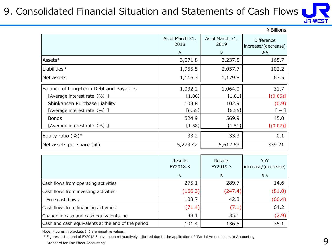#### 9. Consolidated Financial Situation and Statements of Cash Flows



|                                        |                         |                         | ¥ Billions                               |
|----------------------------------------|-------------------------|-------------------------|------------------------------------------|
|                                        | As of March 31,<br>2018 | As of March 31,<br>2019 | <b>Difference</b><br>increase/(decrease) |
|                                        | A                       | B                       | B-A                                      |
| Assets*                                | 3,071.8                 | 3,237.5                 | 165.7                                    |
| Liabilities*                           | 1,955.5                 | 2,057.7                 | 102.2                                    |
| Net assets                             | 1,116.3                 | 1,179.8                 | 63.5                                     |
| Balance of Long-term Debt and Payables | 1,032.2                 | 1,064.0                 | 31.7                                     |
| [Average interest rate (%) ]           | [1.86]                  | $[1.81]$                | [(0.05)]                                 |
| Shinkansen Purchase Liability          | 103.8                   | 102.9                   | (0.9)                                    |
| [Average interest rate (%) ]           | [6.55]                  | [6.55]                  | $[-1]$                                   |
| <b>Bonds</b>                           | 524.9                   | 569.9                   | 45.0                                     |
| 【Average interest rate (%) 】           | [1.58]                  | [1.51]                  | [(0.07)]                                 |
| Equity ratio $(%)^*$                   | 33.2                    | 33.3                    | 0.1                                      |
| Net assets per share $(4)$             | 5,273.42                | 5,612.63                | 339.21                                   |

|                                                    | <b>Results</b><br>FY2018.3 | Results<br>FY2019.3 | YoY<br>increase/(decrease) |
|----------------------------------------------------|----------------------------|---------------------|----------------------------|
|                                                    | A                          | B                   | $B-A$                      |
| Cash flows from operating activities               | 275.1                      | 289.7               | 14.6                       |
| Cash flows from investing activities               | (166.3)                    | (247.4)             | (81.0)                     |
| Free cash flows                                    | 108.7                      | 42.3                | (66.4)                     |
| Cash flows from financing activities               | (71.4)                     | (7.1)               | 64.2                       |
| Change in cash and cash equivalents, net           | 38.1                       | 35.1                | (2.9)                      |
| Cash and cash equivalents at the end of the period | 101.4                      | 136.5               | 35.1                       |

Note: Figures in brackets ( ) are negative values.

 \* Figures at the end of FY2018.3 have been retroactively adjusted due to the application of "Partial Amendments to Accounting Standard for Tax Effect Accounting"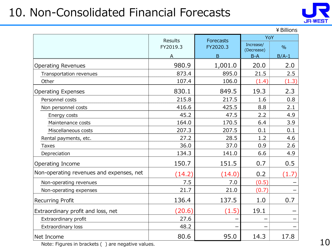## 10. Non-Consolidated Financial Forecasts



¥Billions

|                                          | <b>Results</b> | Forecasts | YoY                     |               |
|------------------------------------------|----------------|-----------|-------------------------|---------------|
|                                          | FY2019.3       | FY2020.3  | Increase/<br>(Decrease) | $\frac{0}{0}$ |
|                                          | А              | B         | $B-A$                   | $B/A-1$       |
| <b>Operating Revenues</b>                | 980.9          | 1,001.0   | 20.0                    | 2.0           |
| Transportation revenues                  | 873.4          | 895.0     | 21.5                    | 2.5           |
| Other                                    | 107.4          | 106.0     | (1.4)                   | (1.3)         |
| <b>Operating Expenses</b>                | 830.1          | 849.5     | 19.3                    | 2.3           |
| Personnel costs                          | 215.8          | 217.5     | 1.6                     | 0.8           |
| Non personnel costs                      | 416.6          | 425.5     | 8.8                     | 2.1           |
| Energy costs                             | 45.2           | 47.5      | 2.2                     | 4.9           |
| Maintenance costs                        | 164.0          | 170.5     | 6.4                     | 3.9           |
| Miscellaneous costs                      | 207.3          | 207.5     | 0.1                     | 0.1           |
| Rental payments, etc.                    | 27.2           | 28.5      | 1.2                     | 4.6           |
| <b>Taxes</b>                             | 36.0           | 37.0      | 0.9                     | 2.6           |
| Depreciation                             | 134.3          | 141.0     | 6.6                     | 4.9           |
| Operating Income                         | 150.7          | 151.5     | 0.7                     | 0.5           |
| Non-operating revenues and expenses, net | (14.2)         | (14.0)    | 0.2                     | (1.7)         |
| Non-operating revenues                   | 7.5            | 7.0       | (0.5)                   |               |
| Non-operating expenses                   | 21.7           | 21.0      | (0.7)                   |               |
| <b>Recurring Profit</b>                  | 136.4          | 137.5     | 1.0                     | 0.7           |
| Extraordinary profit and loss, net       | (20.6)         | (1.5)     | 19.1                    |               |
| Extraordinary profit                     | 27.6           |           |                         |               |
| Extraordinary loss                       | 48.2           |           |                         |               |
| Net Income                               | 80.6           | 95.0      | 14.3                    | 17.8          |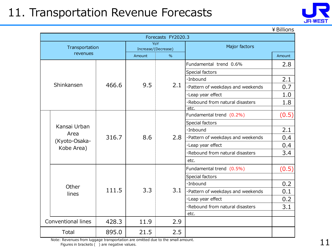#### 11. Transportation Revenue Forecasts



¥Billions

| Forecasts FY2020.3 |                             |       |                     |               |                                         |        |
|--------------------|-----------------------------|-------|---------------------|---------------|-----------------------------------------|--------|
|                    | Transportation              |       | Increase/(Decrease) | YoY           | Major factors                           |        |
|                    | revenues                    |       | Amount              | $\frac{0}{0}$ |                                         | Amount |
|                    |                             |       |                     |               | Fundamental trend 0.6%                  | 2.8    |
|                    |                             |       |                     |               | Special factors                         |        |
|                    |                             |       |                     |               | $\cdot$ Inbound                         | 2.1    |
|                    | Shinkansen                  | 466.6 | 9.5                 | 2.1           | ·Pattern of weekdays and weekends       | 0.7    |
|                    |                             |       |                     |               | ·Leap year effect                       | 1.0    |
|                    |                             |       |                     |               | ·Rebound from natural disasters<br>etc. | 1.8    |
|                    |                             |       |                     |               | Fundamental trend (0.2%)                | (0.5)  |
|                    |                             |       |                     |               | Special factors                         |        |
|                    | Kansai Urban                |       |                     |               | ·Inbound                                | 2.1    |
|                    | Area                        | 316.7 | 8.6                 | 2.8           | ·Pattern of weekdays and weekends       | 0.4    |
|                    | (Kyoto-Osaka-<br>Kobe Area) |       |                     |               | ·Leap year effect                       | 0.4    |
|                    |                             |       |                     |               | ·Rebound from natural disasters         | 3.4    |
|                    |                             |       |                     |               | etc.                                    |        |
|                    |                             |       |                     |               | Fundamental trend (0.5%)                | (0.5)  |
|                    |                             |       |                     |               | Special factors                         |        |
|                    | Other                       |       |                     |               | ·Inbound                                | 0.2    |
|                    | lines                       | 111.5 | 3.3                 | 3.1           | ·Pattern of weekdays and weekends       | 0.1    |
|                    |                             |       |                     |               | ·Leap year effect                       | 0.2    |
|                    |                             |       |                     |               | ·Rebound from natural disasters         | 3.1    |
|                    |                             |       |                     |               | etc.                                    |        |
|                    | <b>Conventional lines</b>   | 428.3 | 11.9                | 2.9           |                                         |        |
|                    | Total                       | 895.0 | 21.5                | 2.5           |                                         |        |

Note: Revenues from luggage transportation are omitted due to the small amount.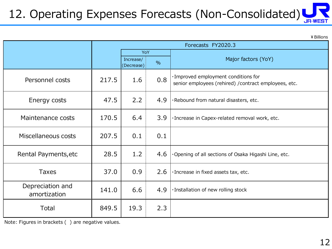# 12. Operating Expenses Forecasts (Non-Consolidated)

¥Billions

|                                  | Forecasts FY2020.3 |                         |               |                                                                                               |  |
|----------------------------------|--------------------|-------------------------|---------------|-----------------------------------------------------------------------------------------------|--|
|                                  |                    | YoY                     |               |                                                                                               |  |
|                                  |                    | Increase/<br>(Decrease) | $\frac{0}{0}$ | Major factors (YoY)                                                                           |  |
| Personnel costs                  | 217.5              | 1.6                     | 0.8           | · Improved employment conditions for<br>senior employees (rehired) / contract employees, etc. |  |
| Energy costs                     | 47.5               | 2.2                     | 4.9           | ·Rebound from natural disasters, etc.                                                         |  |
| Maintenance costs                | 170.5              | 6.4                     | 3.9           | · Increase in Capex-related removal work, etc.                                                |  |
| Miscellaneous costs              | 207.5              | 0.1                     | 0.1           |                                                                                               |  |
| Rental Payments, etc             | 28.5               | 1.2                     | 4.6           | ·Opening of all sections of Osaka Higashi Line, etc.                                          |  |
| <b>Taxes</b>                     | 37.0               | 0.9                     | 2.6           | ·Increase in fixed assets tax, etc.                                                           |  |
| Depreciation and<br>amortization | 141.0              | 6.6                     | 4.9           | ·Installation of new rolling stock                                                            |  |
| <b>Total</b>                     | 849.5              | 19.3                    | 2.3           |                                                                                               |  |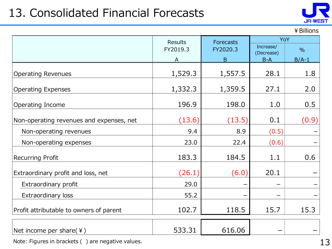# 13. Consolidated Financial Forecasts



#### ¥Billions

|                                          | <b>Results</b> | <b>Forecasts</b> | YoY                     |               |
|------------------------------------------|----------------|------------------|-------------------------|---------------|
|                                          | FY2019.3       | FY2020.3         | Increase/<br>(Decrease) | $\frac{0}{0}$ |
|                                          |                | B                | $B-A$                   | $B/A-1$       |
| <b>Operating Revenues</b>                | 1,529.3        | 1,557.5          | 28.1                    | 1.8           |
| <b>Operating Expenses</b>                | 1,332.3        | 1,359.5          | 27.1                    | 2.0           |
| Operating Income                         | 196.9          | 198.0            | 1.0                     | 0.5           |
| Non-operating revenues and expenses, net | (13.6)         | (13.5)           | 0.1                     | (0.9)         |
| Non-operating revenues                   | 9.4            | 8.9              | (0.5)                   |               |
| Non-operating expenses                   | 23.0           | 22.4             | (0.6)                   |               |
| <b>Recurring Profit</b>                  | 183.3          | 184.5            | 1.1                     | 0.6           |
| Extraordinary profit and loss, net       | (26.1)         | (6.0)            | 20.1                    |               |
| Extraordinary profit                     | 29.0           |                  |                         |               |
| <b>Extraordinary loss</b>                | 55.2           |                  |                         |               |
| Profit attributable to owners of parent  | 102.7          | 118.5            | 15.7                    | 15.3          |
| Net income per share( $\angle$ )         | 533.31         | 616.06           |                         |               |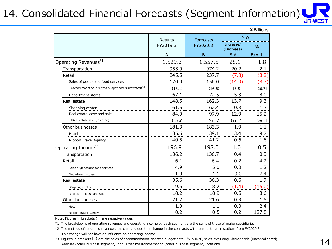#### 14. Consolidated Financial Forecasts (Segment Information) **JR-WEST**

|                                                                 |          |                  |            | ¥ Billions    |
|-----------------------------------------------------------------|----------|------------------|------------|---------------|
|                                                                 | Results  | <b>Forecasts</b> | Increase/  | YoY           |
|                                                                 | FY2019.3 | FY2020.3         | (Decrease) | $\frac{0}{0}$ |
|                                                                 | A        | B                | $B-A$      | $B/A-1$       |
| Operating Revenues*1                                            | 1,529.3  | 1,557.5          | 28.1       | 1.8           |
| Transportation                                                  | 953.9    | 974.2            | 20.2       | 2.1           |
| Retail                                                          | 245.5    | 237.7            | (7.8)      | (3.2)         |
| Sales of goods and food services                                | 170.0    | 156.0            | (14.0)     | (8.3)         |
| [Accommodation-oriented budget hotels] (restated) <sup>*2</sup> | [13.1]   | [16.6]           | [3.5]      | [26.7]        |
| Department stores                                               | 67.1     | 72.5             | 5.3        | 8.0           |
| Real estate                                                     | 148.5    | 162.3            | 13.7       | 9.3           |
| Shopping center                                                 | 61.5     | 62.4             | 0.8        | 1.3           |
| Real estate lease and sale                                      | 84.9     | 97.9             | 12.9       | 15.2          |
| [Real estate sale] (restated)                                   | [39.4]   | [50.5]           | [11.1]     | [28.2]        |
| Other businesses                                                | 181.3    | 183.3            | 1.9        | 1.1           |
| Hotel                                                           | 35.6     | 39.1             | 3.4        | 9.7           |
| Nippon Travel Agency                                            | 40.5     | 41.2             | 0.6        | 1.6           |
| Operating Income <sup>*1</sup>                                  | 196.9    | 198.0            | 1.0        | 0.5           |
| Transportation                                                  | 136.2    | 136.7            | 0.4        | 0.3           |
| Retail                                                          | 6.1      | 6.4              | 0.2        | 4.2           |
| Sales of goods and food services                                | 4.9      | 5.0              | 0.0        | 1.2           |
| Department stores                                               | 1.0      | 1.1              | 0.0        | 7.4           |
| Real estate                                                     | 35.6     | 36.3             | 0.6        | 1.7           |
| Shopping center                                                 | 9.6      | 8.2              | (1.4)      | (15.0)        |
| Real estate lease and sale                                      | 18.2     | 18.9             | 0.6        | 3.6           |
| Other businesses                                                | 21.2     | 21.6             | 0.3        | 1.5           |
| Hotel                                                           | 1.0      | 1.1              | 0.0        | 2.4           |
| Nippon Travel Agency                                            | 0.2      | 0.5              | 0.2        | 127.8         |

Note: Figures in brackets ( ) are negative values.

\*1 The breakdowns of operating revenues and operating income by each segment are the sums of those of major subsidiaries.

\*2 The method of recording revenues has changed due to a change in the contracts with tenant stores in stations from FY2020.3. This change will not have an influence on operating income.

\*3 Figures in brackets 【 】 are the sales of accommodation-oriented budget hotel, "VIA INN", sales, excluding Shimonoseki (unconsolidated), Asakusa (other business segment), and Hiroshima Kanayamacho (other business segment) locations.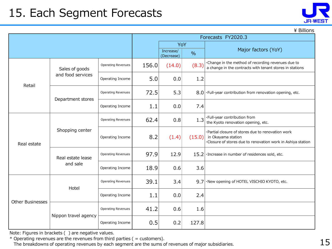### 15. Each Segment Forecasts



\ Billions

|                                                     |                      |                           | Forecasts FY2020.3 |                         |               |                                                                                                                                       |  |
|-----------------------------------------------------|----------------------|---------------------------|--------------------|-------------------------|---------------|---------------------------------------------------------------------------------------------------------------------------------------|--|
|                                                     |                      |                           |                    | YoY                     |               |                                                                                                                                       |  |
|                                                     |                      |                           |                    | Increase/<br>(Decrease) | $\frac{0}{0}$ | Major factors (YoY)                                                                                                                   |  |
|                                                     | Sales of goods       | <b>Operating Revenues</b> | 156.0              | (14.0)                  | (8.3)         | . Change in the method of recording revenues due to<br>a change in the contracts with tenant stores in stations                       |  |
| Retail                                              | and food services    | Operating Income          | 5.0                | 0.0                     | 1.2           |                                                                                                                                       |  |
|                                                     |                      | <b>Operating Revenues</b> | 72.5               | 5.3                     | 8.0           | ·Full-year contribution from renovation opening, etc.                                                                                 |  |
| Department stores                                   | Operating Income     | 1.1                       | 0.0                | 7.4                     |               |                                                                                                                                       |  |
| Shopping center<br>Real estate<br>Real estate lease |                      | <b>Operating Revenues</b> | 62.4               | 0.8                     | 1.3           | ·Full-year contribution from<br>the Kyoto renovation opening, etc.                                                                    |  |
|                                                     |                      | Operating Income          | 8.2                | (1.4)                   | (15.0)        | ·Partial closure of stores due to renovation work<br>in Okayama station<br>Closure of stores due to renovation work in Ashiya station |  |
|                                                     |                      | <b>Operating Revenues</b> | 97.9               | 12.9                    | 15.2          | · Increase in number of residences sold, etc.                                                                                         |  |
|                                                     | and sale             | Operating Income          | 18.9               | 0.6                     | 3.6           |                                                                                                                                       |  |
|                                                     | Hotel                | <b>Operating Revenues</b> | 39.1               | 3.4                     | 9.7           | ·New opening of HOTEL VISCHIO KYOTO, etc.                                                                                             |  |
| <b>Other Businesses</b>                             |                      | Operating Income          | 1.1                | 0.0                     | 2.4           |                                                                                                                                       |  |
|                                                     | Nippon travel agency | Operating Revenues        | 41.2               | 0.6                     | 1.6           |                                                                                                                                       |  |
|                                                     |                      | Operating Income          | 0.5                | 0.2                     | 127.8         |                                                                                                                                       |  |

Note: Figures in brackets ( ) are negative values.

\* Operating revenues are the revenues from third parties ( = customers). The breakdowns of operating revenues by each segment are the sums of revenues of major subsidiaries.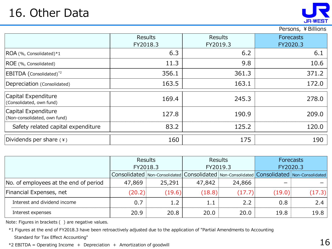

#### Persons, ¥Billions

|                                                     | <b>Results</b><br>FY2018.3 | <b>Results</b><br>FY2019.3 | <b>Forecasts</b><br>FY2020.3 |
|-----------------------------------------------------|----------------------------|----------------------------|------------------------------|
| ROA (%, Consolidated)*1                             | 6.3                        | 6.2                        | 6.1                          |
| ROE (%, Consolidated)                               | 11.3                       | 9.8                        | 10.6                         |
| EBITDA (Consolidated) <sup>*2</sup>                 | 356.1                      | 361.3                      | 371.2                        |
| Depreciation (Consolidated)                         | 163.5                      | 163.1                      | 172.0                        |
| Capital Expenditure<br>(Consolidated, own fund)     | 169.4                      | 245.3                      | 278.0                        |
| Capital Expenditure<br>(Non-consolidated, own fund) | 127.8                      | 190.9                      | 209.0                        |
| Safety related capital expenditure                  | 83.2                       | 125.2                      | 120.0                        |
| Dividends per share (\ine                           | 160                        | 175                        | 190                          |

|                                       |                                                                                           | <b>Results</b> | <b>Results</b> |        | <b>Forecasts</b> |        |
|---------------------------------------|-------------------------------------------------------------------------------------------|----------------|----------------|--------|------------------|--------|
|                                       | FY2018.3                                                                                  |                | FY2019.3       |        | FY2020.3         |        |
|                                       | Consolidated Non-Consolidated Consolidated Non-Consolidated Consolidated Non-Consolidated |                |                |        |                  |        |
| No. of employees at the end of period | 47,869                                                                                    | 25,291         | 47,842         | 24,866 |                  |        |
| Financial Expenses, net               | (20.2)                                                                                    | (19.6)         | (18.8)         | (17.7) | (19.0)           | (17.3) |
| Interest and dividend income          | 0.7                                                                                       | 1.2            | 1.1            | 2.2    | 0.8              | 2.4    |
| Interest expenses                     | 20.9                                                                                      | 20.8           | 20.0           | 20.0   | 19.8             | 19.8   |

Note: Figures in brackets ( ) are negative values.

 \*1 Figures at the end of FY2018.3 have been retroactively adjusted due to the application of "Partial Amendments to Accounting Standard for Tax Effect Accounting"

 $*2$  EBITDA = Operating Income + Depreciation + Amortization of goodwill